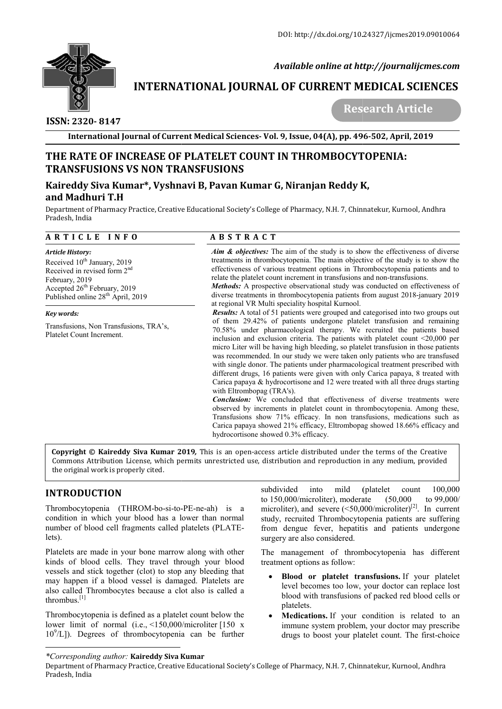

 *Available online at http://journalijcmes.com*

# **INTERNATIONAL JOURNAL OF CURRENT MEDICAL SCIENCES**<br>Research Article

 **ISSN: 2320- 8147**

 **Research Article**

**International Journal of Current Medical Sciences Sciences- Vol. 9, Issue, 04(A), pp. 496 496-502, April, 2019**

# **THE RATE OF INCREASE OF PLATELET COUNT IN THROMBOCYTOPENIA: TRANSFUSIONS VS NON TRANSFUSIONS**

## **Kaireddy Siva Kumar\*, Vyshnavi B, Pavan Kumar G, Niranjan Reddy K and Madhuri T.H**

Department of Pharmacy Practice, Creative Educational Society's College of Pharmacy, N.H. 7, Chinnatekur, Kurnool, Andhra Pradesh, India

|  |  |  | ARTICLE INFO |  |  |
|--|--|--|--------------|--|--|
|  |  |  |              |  |  |

#### *Article History:*  Received 10<sup>th</sup> January, 2019 Received in revised form 2nd February, 2019 Accepted 26<sup>th</sup> February, 2019 Published online 28<sup>th</sup> April, 2019

*Key words:*

Transfusions, Non Transfusions, TRA's, Platelet Count Increment.

# **A B S T R A C T**

*Aim & objectives:* The aim of the study is to show the effectiveness of diverse treatments in thrombocytopenia. The main objective of the study is to show the effectiveness of various treatment options in Thrombocytopenia patients and to relate the platelet count increment in transfusions and non-transfusions. ady is to show the effectiveness of diver<br>main objective of the study is to show t<br>tions in Thrombocytopenia patients and<br>ransfusions and non-transfusions.

*Methods:* A prospective observational study was conducted on effectiveness of **Methods:** A prospective observational study was conducted on effectiveness of diverse treatments in thrombocytopenia patients from august 2018-january 2019 at regional VR Multi speciality hospital Kurnool.

*Results:* A total of 51 patients were grouped and categorised into two groups out of them 29.42% of patients undergone platelet transfusion and remaining 70.58% under pharmacological therapy. We recruited the patients based inclusion and exclusion criteria. The patients with platelet count  $\leq 20,000$  per micro Liter will be having high bleeding, so platelet transfusion in those patients was recommended. In our study we were taken only patients who are transfused micro Liter will be having high bleeding, so platelet transfusion in those patients was recommended. In our study we were taken only patients who are transfused with single donor. The patients under pharmacological treatme different drugs, 16 patients were given with only Carica papaya, 8 treated with Carica papaya & hydrocortisone and 12 were treated with all three drugs starting with Eltrombopag (TRA's). **CREASE OF PLATELET COUNT IN THROMBOCYTOS**<br> **SYON NONTRANSFUSIONS**<br> **SYON TRANSFUSIONS**<br> **SYON TRANSFUSIONS**<br> **A B 5 T R A C T**<br> **A** *A between*: the aim of the study is to show that the objective: The simple pharmacy, N. A total of 51 patients were grouped and categorised into two groups out  $29.42\%$  of patients undergone platelet transfusion and remaining under pharmacological therapy. We recruited the patients based and exclusion crite patients were given with only Carica papaya, 8 treated with drugs starting TRA's).<br>TRA's).<br>concluded that effectiveness of diverse treatments were

*Conclusion:* We concluded that effectiveness of diverse treatments were observed by increments in platelet count in thrombocytopenia. Among these, Transfusions show 71% efficacy. In non transfusions, medications such as Carica papaya showed 21% efficacy, Eltrombopag showed 18.66% efficacy and hydrocortisone showed 0.3% efficacy. by increments in platelet count in thrombocytopenia. Among these,<br>ons show 71% efficacy. In non transfusions, medications such as<br>paya showed 21% efficacy. Eltrombopag showed 18.66% efficacy and<br>isone showed 0.3% efficacy.

**Copyright © Kaireddy Siva Kumar 201 2019***,* This is an open-access article distributed under the terms of the Creative **Copyright © Kaireddy Siva Kumar 2019,** This is an open-access article distributed under the terms of the Creative<br>Commons Attribution License, which permits unrestricted use, distribution and reproduction in any medium, p the original work is properly cited.

# **INTRODUCTION**

Thrombocytopenia (THROM-bo-si-to-PE-ne-ah) is a condition in which your blood has a lower than normal number of blood cell fragments called platelets (PLATE (PLATElets).

Platelets are made in your bone marrow along with other kinds of blood cells. They travel through your blood vessels and stick together (clot) to stop any bleeding that may happen if a blood vessel is damaged. Platelets are also called Thrombocytes because a clot also is called a thrombus<sup>[1]</sup>

Thrombocytopenia is defined as a platelet count below the lower limit of normal (i.e., <150,000/microliter [150 x 10<sup>9</sup> /L]). Degrees of thrombocytopenia can be further

**EXECTION**<br>
Subdivided into mild (platelet count 100,000<br>
hocytopenia (THROM-bo-si-to-PE-ne-ah) is a<br>
microliter), moderate (50,000/microliter)<sup>[2]</sup>. In current<br>
ion in which your blood has a lower than normal<br>
study, recr to 150,000/microliter), moderate microliter), and severe  $(<50,000/m$ icroliter)<sup>[2]</sup>. In current study, recruited Thrombocytopenia patients are suffering from dengue fever, hepatitis and patients undergone surgery are also considered. (50,000 to 99,000/ study, recruited Thrombocytopenia patients are<br>from dengue fever, hepatitis and patients is<br>surgery are also considered.<br>The management of thrombocytopenia has

The management of thrombocytopenia has different treatment options as follow:

- **Blood or platelet transfusions.** If your platelet level becomes too low, your doctor can replace lost blood with transfusions of packed red blood cells or platelets.
- **Medications.** If your condition is related to an immune system problem, your doctor may prescribe drugs to boost your platelet count. The first od with transfusions of packed red blood cells or telets.<br> **dications.** If your condition is related to an mune system problem, your doctor may prescribe gs to boost your platelet count. The first-choice

*<sup>\*</sup>Corresponding author:* **Kaireddy Siva Kumar**

Department of Pharmacy Practice, Creative Educational Society's College of Pharmacy, N.H. 7, Chinnatekur, Kurnool, Andhra Pradesh, India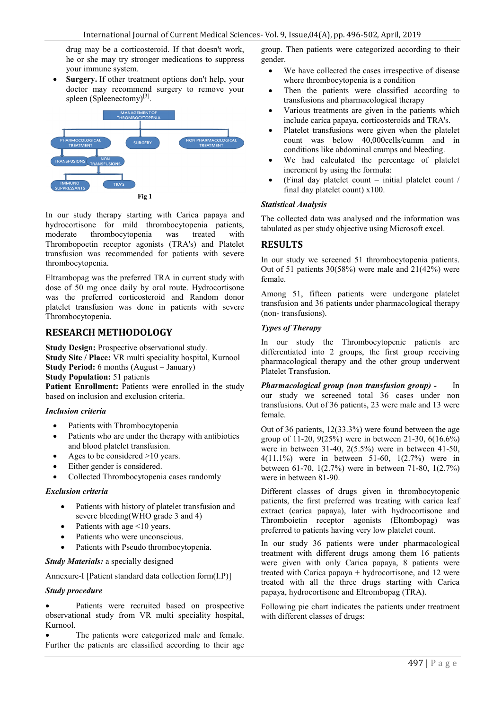drug may be a corticosteroid. If that doesn't work, he or she may try stronger medications to suppress your immune system.

 **Surgery.** If other treatment options don't help, your doctor may recommend surgery to remove your spleen (Spleenectomy)<sup>[3]</sup>.



In our study therapy starting with Carica papaya and hydrocortisone for mild thrombocytopenia patients, moderate thrombocytopenia was treated with Thrombopoetin receptor agonists (TRA's) and Platelet transfusion was recommended for patients with severe thrombocytopenia.

Eltrambopag was the preferred TRA in current study with dose of 50 mg once daily by oral route. Hydrocortisone was the preferred corticosteroid and Random donor platelet transfusion was done in patients with severe Thrombocytopenia.

## **RESEARCH METHODOLOGY**

**Study Design:** Prospective observational study. **Study Site / Place:** VR multi speciality hospital, Kurnool **Study Period:** 6 months (August – January) **Study Population:** 51 patients

Patient Enrollment: Patients were enrolled in the study based on inclusion and exclusion criteria.

## *Inclusion criteria*

- Patients with Thrombocytopenia
- Patients who are under the therapy with antibiotics and blood platelet transfusion.
- Ages to be considered >10 years.
- Either gender is considered.
- Collected Thrombocytopenia cases randomly

## *Exclusion criteria*

- Patients with history of platelet transfusion and severe bleeding(WHO grade 3 and 4)
- $\bullet$  Patients with age <10 years.
- Patients who were unconscious.
- Patients with Pseudo thrombocytopenia.

*Study Materials:* a specially designed

Annexure-I [Patient standard data collection form(I.P)]

## *Study procedure*

 Patients were recruited based on prospective observational study from VR multi speciality hospital, Kurnool.

 The patients were categorized male and female. Further the patients are classified according to their age

group. Then patients were categorized according to their gender.

- We have collected the cases irrespective of disease where thrombocytopenia is a condition
- Then the patients were classified according to transfusions and pharmacological therapy
- Various treatments are given in the patients which include carica papaya, corticosteroids and TRA's.
- Platelet transfusions were given when the platelet count was below 40,000cells/cumm and in conditions like abdominal cramps and bleeding.
- We had calculated the percentage of platelet increment by using the formula:
- (Final day platelet count initial platelet count / final day platelet count) x100.

## *Statistical Analysis*

The collected data was analysed and the information was tabulated as per study objective using Microsoft excel.

## **RESULTS**

In our study we screened 51 thrombocytopenia patients. Out of 51 patients 30(58%) were male and 21(42%) were female.

Among 51, fifteen patients were undergone platelet transfusion and 36 patients under pharmacological therapy (non- transfusions).

## *Types of Therapy*

In our study the Thrombocytopenic patients are differentiated into 2 groups, the first group receiving pharmacological therapy and the other group underwent Platelet Transfusion.

*Pharmacological group (non transfusion group) -* In our study we screened total 36 cases under non transfusions. Out of 36 patients, 23 were male and 13 were female.

Out of 36 patients, 12(33.3%) were found between the age group of 11-20, 9(25%) were in between 21-30, 6(16.6%) were in between 31-40, 2(5.5%) were in between 41-50, 4(11.1%) were in between 51-60, 1(2.7%) were in between 61-70, 1(2.7%) were in between 71-80, 1(2.7%) were in between 81-90.

Different classes of drugs given in thrombocytopenic patients, the first preferred was treating with carica leaf extract (carica papaya), later with hydrocortisone and Thromboietin receptor agonists (Eltombopag) was preferred to patients having very low platelet count.

In our study 36 patients were under pharmacological treatment with different drugs among them 16 patients were given with only Carica papaya, 8 patients were treated with Carica papaya + hydrocortisone, and 12 were treated with all the three drugs starting with Carica papaya, hydrocortisone and Eltrombopag (TRA).

Following pie chart indicates the patients under treatment with different classes of drugs: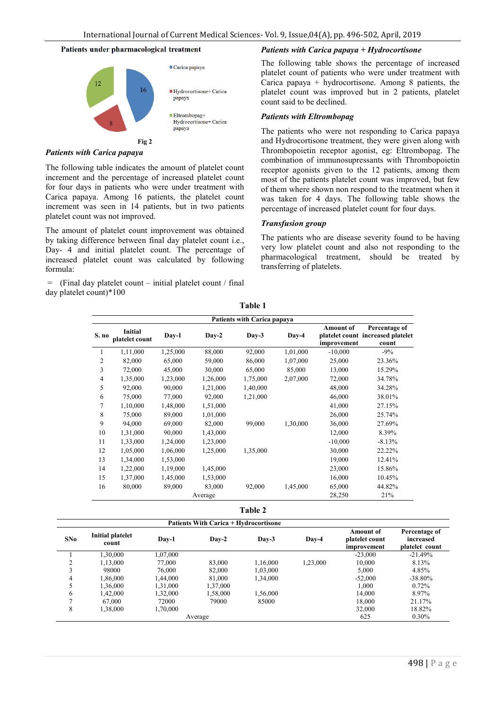#### Patients under pharmacological treatment



*Patients with Carica papaya*

The following table indicates the amount of platelet count increment and the percentage of increased platelet count for four days in patients who were under treatment with Carica papaya. Among 16 patients, the platelet count increment was seen in 14 patients, but in two patients platelet count was not improved.

The amount of platelet count improvement was obtained by taking difference between final day platelet count i.e., Day- 4 and initial platelet count. The percentage of increased platelet count was calculated by following formula:

 $=$  (Final day platelet count – initial platelet count / final day platelet count)\*100

## *Patients with Carica papaya + Hydrocortisone*

The following table shows the percentage of increased platelet count of patients who were under treatment with Carica papaya + hydrocortisone. Among 8 patients, the platelet count was improved but in 2 patients, platelet count said to be declined.

#### *Patients with Eltrombopag*

The patients who were not responding to Carica papaya and Hydrocortisone treatment, they were given along with Thrombopoietin receptor agonist, eg: Eltrombopag. The combination of immunosupressants with Thrombopoietin receptor agonists given to the 12 patients, among them most of the patients platelet count was improved, but few of them where shown non respond to the treatment when it was taken for 4 days. The following table shows the percentage of increased platelet count for four days.

#### *Transfusion group*

The patients who are disease severity found to be having very low platelet count and also not responding to the pharmacological treatment, should be treated by transferring of platelets.

|                | <b>Patients with Carica papaya</b> |          |          |          |          |                                 |                                                             |  |  |  |
|----------------|------------------------------------|----------|----------|----------|----------|---------------------------------|-------------------------------------------------------------|--|--|--|
| S. no          | Initial<br>platelet count          | Day-1    | $Day-2$  | $Day-3$  | Day-4    | <b>Amount of</b><br>improvement | Percentage of<br>platelet count increased platelet<br>count |  |  |  |
| 1              | 1,11,000                           | 1,25,000 | 88,000   | 92,000   | 1,01,000 | $-10,000$                       | $-9\%$                                                      |  |  |  |
| 2              | 82,000                             | 65,000   | 59,000   | 86,000   | 1,07,000 | 25,000                          | 23.36%                                                      |  |  |  |
| 3              | 72,000                             | 45,000   | 30,000   | 65,000   | 85,000   | 13,000                          | 15.29%                                                      |  |  |  |
| $\overline{4}$ | 1,35,000                           | 1,23,000 | 1,26,000 | 1,75,000 | 2,07,000 | 72,000                          | 34.78%                                                      |  |  |  |
| 5              | 92,000                             | 90,000   | 1,21,000 | 1,40,000 |          | 48,000                          | 34.28%                                                      |  |  |  |
| 6              | 75,000                             | 77,000   | 92,000   | 1,21,000 |          | 46,000                          | 38.01%                                                      |  |  |  |
| 7              | 1,10,000                           | 1,48,000 | 1,51,000 |          |          | 41,000                          | 27.15%                                                      |  |  |  |
| 8              | 75,000                             | 89,000   | 1,01,000 |          |          | 26,000                          | 25.74%                                                      |  |  |  |
| 9              | 94,000                             | 69,000   | 82,000   | 99,000   | 1,30,000 | 36,000                          | 27.69%                                                      |  |  |  |
| 10             | 1,31,000                           | 90,000   | 1,43,000 |          |          | 12,000                          | 8.39%                                                       |  |  |  |
| 11             | 1,33,000                           | 1,24,000 | 1,23,000 |          |          | $-10,000$                       | $-8.13%$                                                    |  |  |  |
| 12             | 1,05,000                           | 1,06,000 | 1,25,000 | 1,35,000 |          | 30,000                          | 22.22%                                                      |  |  |  |
| 13             | 1,34,000                           | 1,53,000 |          |          |          | 19,000                          | 12.41%                                                      |  |  |  |
| 14             | 1,22,000                           | 1,19,000 | 1,45,000 |          |          | 23,000                          | 15.86%                                                      |  |  |  |
| 15             | 1,37,000                           | 1,45,000 | 1,53,000 |          |          | 16,000                          | 10.45%                                                      |  |  |  |
| 16             | 80,000                             | 89,000   | 83,000   | 92,000   | 1,45,000 | 65,000                          | 44.82%                                                      |  |  |  |
|                |                                    |          | Average  |          |          | 28,250                          | 21%                                                         |  |  |  |

**Table 1**

**Table 2**

|     |                           |          | <b>Patients With Carica + Hydrocortisone</b> |                  |          | <b>Amount of</b>              | Percentage of               |
|-----|---------------------------|----------|----------------------------------------------|------------------|----------|-------------------------------|-----------------------------|
| SNo | Initial platelet<br>count | Day-1    | $\bf{D}$ av-2                                | $\mathbf{Dav-3}$ | Day-4    | platelet count<br>improvement | increased<br>platelet count |
|     | 1.30.000                  | 1,07,000 |                                              |                  |          | $-23.000$                     | $-21.49%$                   |
|     | 1.13.000                  | 77.000   | 83,000                                       | 1.16.000         | 1,23,000 | 10,000                        | 8.13%                       |
|     | 98000                     | 76,000   | 82,000                                       | 1,03,000         |          | 5,000                         | 4.85%                       |
| 4   | 1,86,000                  | 1,44,000 | 81,000                                       | 1,34,000         |          | $-52,000$                     | $-38.80\%$                  |
|     | 1,36,000                  | 1,31,000 | 1,37,000                                     |                  |          | 1,000                         | 0.72%                       |
| 6   | 1,42,000                  | 1,32,000 | 1,58,000                                     | 1,56,000         |          | 14,000                        | 8.97%                       |
|     | 67,000                    | 72000    | 79000                                        | 85000            |          | 18,000                        | 21.17%                      |
| 8   | 1,38,000                  | 1,70,000 |                                              |                  |          | 32,000                        | 18.82%                      |
|     |                           |          | Average                                      |                  |          | 625                           | $0.30\%$                    |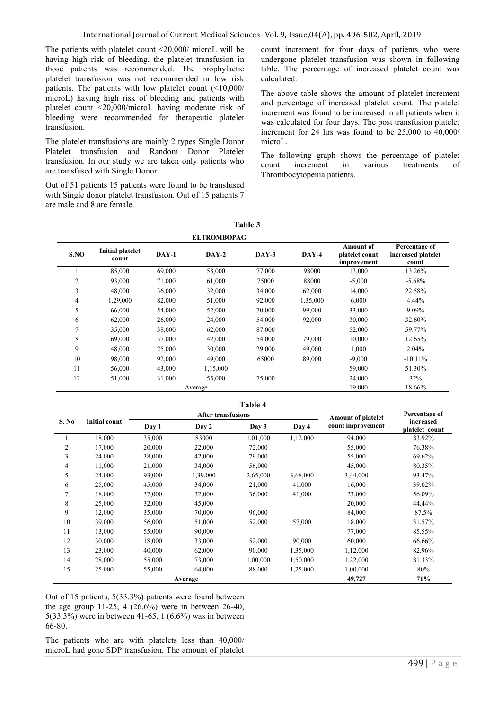The patients with platelet count <20,000/ microL will be having high risk of bleeding, the platelet transfusion in those patients was recommended. The prophylactic platelet transfusion was not recommended in low risk patients. The patients with low platelet count (<10,000/ microL) having high risk of bleeding and patients with platelet count <20,000/microL having moderate risk of bleeding were recommended for therapeutic platelet transfusion.

The platelet transfusions are mainly 2 types Single Donor Platelet transfusion and Random Donor Platelet transfusion. In our study we are taken only patients who are transfused with Single Donor.

Out of 51 patients 15 patients were found to be transfused with Single donor platelet transfusion. Out of 15 patients 7 are male and 8 are female.

count increment for four days of patients who were undergone platelet transfusion was shown in following table. The percentage of increased platelet count was calculated.

The above table shows the amount of platelet increment and percentage of increased platelet count. The platelet increment was found to be increased in all patients when it was calculated for four days. The post transfusion platelet increment for 24 hrs was found to be 25,000 to 40,000/ microL.

The following graph shows the percentage of platelet count increment in various treatments of Thrombocytopenia patients.

|                |                                  |         | <b>ELTROMBOPAG</b> |         |          |                                                   |                                              |
|----------------|----------------------------------|---------|--------------------|---------|----------|---------------------------------------------------|----------------------------------------------|
| S.NO           | <b>Initial platelet</b><br>count | $DAY-1$ | $DAY-2$            | $DAY-3$ | $DAY-4$  | <b>Amount of</b><br>platelet count<br>improvement | Percentage of<br>increased platelet<br>count |
|                | 85,000                           | 69,000  | 58,000             | 77,000  | 98000    | 13,000                                            | 13.26%                                       |
| $\overline{c}$ | 93,000                           | 71,000  | 61,000             | 75000   | 88000    | $-5,000$                                          | $-5.68%$                                     |
| 3              | 48,000                           | 36,000  | 32,000             | 34,000  | 62,000   | 14,000                                            | 22.58%                                       |
| 4              | 1,29,000                         | 82,000  | 51,000             | 92,000  | 1,35,000 | 6,000                                             | 4.44%                                        |
| 5              | 66,000                           | 54,000  | 52,000             | 70,000  | 99,000   | 33,000                                            | 9.09%                                        |
| 6              | 62,000                           | 26,000  | 24,000             | 54,000  | 92,000   | 30,000                                            | 32.60%                                       |
| 7              | 35,000                           | 38,000  | 62,000             | 87,000  |          | 52,000                                            | 59.77%                                       |
| 8              | 69,000                           | 37,000  | 42,000             | 54,000  | 79,000   | 10,000                                            | 12.65%                                       |
| 9              | 48,000                           | 25,000  | 30,000             | 29,000  | 49,000   | 1,000                                             | 2.04%                                        |
| 10             | 98,000                           | 92,000  | 49,000             | 65000   | 89,000   | $-9,000$                                          | $-10.11%$                                    |
| 11             | 56,000                           | 43,000  | 1,15,000           |         |          | 59,000                                            | 51.30%                                       |
| 12             | 51,000                           | 31,000  | 55,000             | 75,000  |          | 24,000                                            | 32%                                          |
|                |                                  |         | Average            |         |          | 19,000                                            | 18.66%                                       |

| anie |  |
|------|--|
|------|--|

|                |                      |        |                           | Table 4                   |               |                   |                             |
|----------------|----------------------|--------|---------------------------|---------------------------|---------------|-------------------|-----------------------------|
| S. No          | <b>Initial count</b> |        | <b>After transfusions</b> | <b>Amount of platelet</b> | Percentage of |                   |                             |
|                |                      | Day 1  | Day 2                     | Day 3                     | Day 4         | count improvement | increased<br>platelet count |
|                | 18,000               | 35,000 | 83000                     | 1,01,000                  | 1,12,000      | 94,000            | 83.92%                      |
| $\overline{2}$ | 17,000               | 20,000 | 22,000                    | 72,000                    |               | 55,000            | 76.38%                      |
| 3              | 24,000               | 38,000 | 42,000                    | 79,000                    |               | 55,000            | 69.62%                      |
| 4              | 11,000               | 21,000 | 34,000                    | 56,000                    |               | 45,000            | 80.35%                      |
| 5              | 24,000               | 93,000 | 1,39,000                  | 2,65,000                  | 3,68,000      | 3,44,000          | 93.47%                      |
| 6              | 25,000               | 45,000 | 34,000                    | 21,000                    | 41,000        | 16,000            | 39.02%                      |
| 7              | 18,000               | 37,000 | 32,000                    | 36,000                    | 41,000        | 23,000            | 56.09%                      |
| 8              | 25,000               | 32,000 | 45,000                    |                           |               | 20,000            | 44.44%                      |
| 9              | 12,000               | 35,000 | 70,000                    | 96,000                    |               | 84,000            | 87.5%                       |
| 10             | 39,000               | 56,000 | 51,000                    | 52,000                    | 57,000        | 18,000            | 31.57%                      |
| 11             | 13,000               | 55,000 | 90,000                    |                           |               | 77,000            | 85.55%                      |
| 12             | 30,000               | 18,000 | 33,000                    | 52,000                    | 90,000        | 60,000            | 66.66%                      |
| 13             | 23,000               | 40,000 | 62,000                    | 90,000                    | 1,35,000      | 1,12,000          | 82.96%                      |
| 14             | 28,000               | 55,000 | 73,000                    | 1,00,000                  | 1,50,000      | 1,22,000          | 81.33%                      |
| 15             | 25,000               | 55,000 | 64,000                    | 88,000                    | 1,25,000      | 1,00,000          | 80%                         |
|                |                      |        | Average                   |                           |               | 49,727            | 71%                         |

Out of 15 patients, 5(33.3%) patients were found between the age group 11-25, 4 (26.6%) were in between 26-40, 5(33.3%) were in between 41-65, 1 (6.6%) was in between 66-80.

The patients who are with platelets less than 40,000/ microL had gone SDP transfusion. The amount of platelet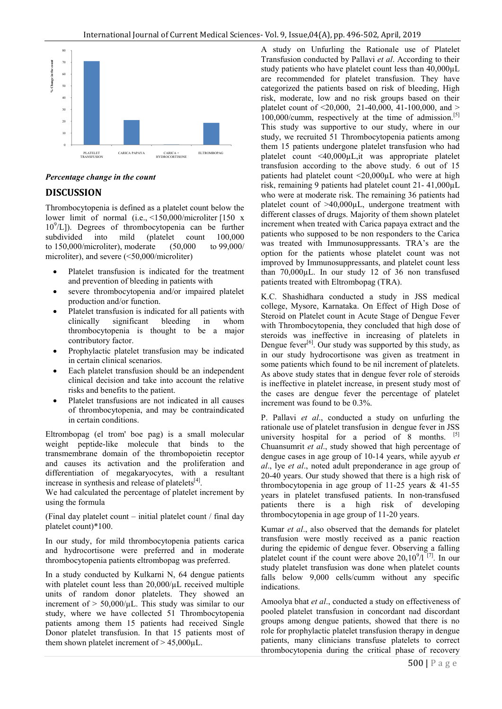

## *Percentage change in the count*

## **DISCUSSION**

Thrombocytopenia is defined as a platelet count below the lower limit of normal (i.e., <150,000/microliter [150 x 10<sup>9</sup> /L]). Degrees of thrombocytopenia can be further subdivided into mild (platelet count 100,000<br>to 150,000/microliter), moderate (50,000 to 99,000/ to 150,000/microliter), moderate microliter), and severe (<50,000/microliter)

- Platelet transfusion is indicated for the treatment and prevention of bleeding in patients with
- severe thrombocytopenia and/or impaired platelet production and/or function.
- Platelet transfusion is indicated for all patients with clinically significant bleeding in whom thrombocytopenia is thought to be a major contributory factor.
- Prophylactic platelet transfusion may be indicated in certain clinical scenarios.
- Each platelet transfusion should be an independent clinical decision and take into account the relative risks and benefits to the patient.
- Platelet transfusions are not indicated in all causes of thrombocytopenia, and may be contraindicated in certain conditions.

Eltrombopag (el trom' boe pag) is a small molecular weight peptide-like molecule that binds to the transmembrane domain of the thrombopoietin receptor and causes its activation and the proliferation and differentiation of megakaryocytes, with a resultant increase in synthesis and release of platelets $[4]$ .

We had calculated the percentage of platelet increment by using the formula

(Final day platelet count – initial platelet count / final day platelet count)\*100.

In our study, for mild thrombocytopenia patients carica and hydrocortisone were preferred and in moderate thrombocytopenia patients eltrombopag was preferred.

In a study conducted by Kulkarni N, 64 dengue patients with platelet count less than 20,000/ $\mu$ L received multiple units of random donor platelets. They showed an increment of  $> 50,000/\mu L$ . This study was similar to our study, where we have collected 51 Thrombocytopenia patients among them 15 patients had received Single Donor platelet transfusion. In that 15 patients most of them shown platelet increment of  $> 45,000$ uL.

A study on Unfurling the Rationale use of Platelet Transfusion conducted by Pallavi *et al*. According to their study patients who have platelet count less than 40,000µL are recommended for platelet transfusion. They have categorized the patients based on risk of bleeding, High risk, moderate, low and no risk groups based on their platelet count of  $\leq 20,000$ , 21-40,000, 41-100,000, and  $>$ 100,000/cumm, respectively at the time of admission.<sup>[5]</sup> This study was supportive to our study, where in our study, we recruited 51 Thrombocytopenia patients among them 15 patients undergone platelet transfusion who had platelet count <40,000µL,it was appropriate platelet transfusion according to the above study. 6 out of 15 patients had platelet count <20,000µL who were at high risk, remaining 9 patients had platelet count 21- 41,000µL who were at moderate risk. The remaining 36 patients had platelet count of  $>40,000\mu L$ , undergone treatment with different classes of drugs. Majority of them shown platelet increment when treated with Carica papaya extract and the patients who supposed to be non responders to the Carica was treated with Immunosuppressants. TRA's are the option for the patients whose platelet count was not improved by Immunosuppressants, and platelet count less than 70,000µL. In our study 12 of 36 non transfused patients treated with Eltrombopag (TRA).

K.C. Shashidhara conducted a study in JSS medical college, Mysore, Karnataka. On Effect of High Dose of Steroid on Platelet count in Acute Stage of Dengue Fever with Thrombocytopenia, they concluded that high dose of steroids was ineffective in increasing of platelets in Dengue fever<sup>[6]</sup>. Our study was supported by this study, as in our study hydrocortisone was given as treatment in some patients which found to be nil increment of platelets. As above study states that in dengue fever role of steroids is ineffective in platelet increase, in present study most of the cases are dengue fever the percentage of platelet increment was found to be 0.3%.

P. Pallavi *et al*., conducted a study on unfurling the rationale use of platelet transfusion in dengue fever in JSS university hospital for a period of  $\overline{8}$  months. [5] Chuansumrit *et al*., study showed that high percentage of dengue cases in age group of 10-14 years, while ayyub *et al*., lye *et al*., noted adult preponderance in age group of 20-40 years. Our study showed that there is a high risk of thrombocytopenia in age group of 11-25 years  $\&$  41-55 years in platelet transfused patients. In non-transfused patients there is a high risk of developing thrombocytopenia in age group of 11-20 years.

Kumar *et al*., also observed that the demands for platelet transfusion were mostly received as a panic reaction during the epidemic of dengue fever. Observing a falling platelet count if the count were above  $20_x 10^9 / 1^{7}$ . In our study platelet transfusion was done when platelet counts falls below 9,000 cells/cumm without any specific indications.

Amoolya bhat *et al*., conducted a study on effectiveness of pooled platelet transfusion in concordant nad discordant groups among dengue patients, showed that there is no role for prophylactic platelet transfusion therapy in dengue patients, many clinicians transfuse platelets to correct thrombocytopenia during the critical phase of recovery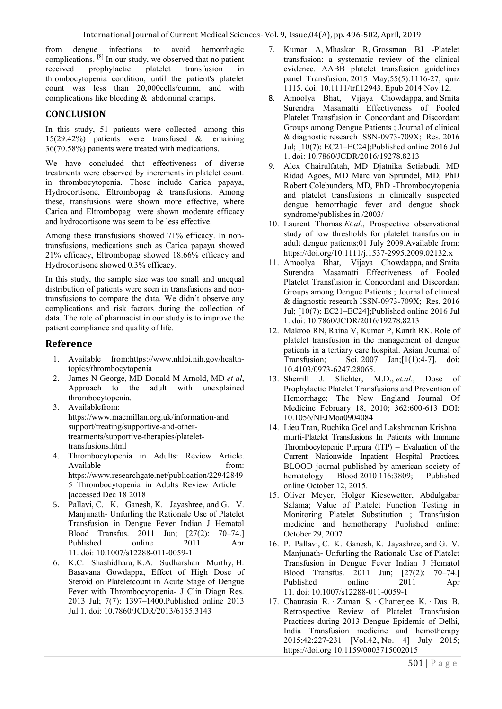from dengue infections to avoid hemorrhagic complications. <sup>[8]</sup> In our study, we observed that no patient received prophylactic platelet transfusion in received prophylactic platelet transfusion in thrombocytopenia condition, until the patient's platelet count was less than 20,000cells/cumm, and with complications like bleeding & abdominal cramps.

## **CONCLUSION**

In this study, 51 patients were collected- among this 15(29.42%) patients were transfused & remaining 36(70.58%) patients were treated with medications.

We have concluded that effectiveness of diverse treatments were observed by increments in platelet count. in thrombocytopenia. Those include Carica papaya, Hydrocortisone, Eltrombopag & transfusions. Among these, transfusions were shown more effective, where Carica and Eltrombopag were shown moderate efficacy and hydrocortisone was seem to be less effective.

Among these transfusions showed 71% efficacy. In nontransfusions, medications such as Carica papaya showed 21% efficacy, Eltrombopag showed 18.66% efficacy and Hydrocortisone showed 0.3% efficacy.

In this study, the sample size was too small and unequal distribution of patients were seen in transfusions and nontransfusions to compare the data. We didn't observe any complications and risk factors during the collection of data. The role of pharmacist in our study is to improve the patient compliance and quality of life.

## **Reference**

- 1. Available from:https://www.nhlbi.nih.gov/healthtopics/thrombocytopenia
- 2. James N George, MD Donald M Arnold, MD *et al*, Approach to the adult with unexplained thrombocytopenia.
- 3. Availablefrom: https://www.macmillan.org.uk/information-and support/treating/supportive-and-othertreatments/supportive-therapies/platelettransfusions.html
- 4. Thrombocytopenia in Adults: Review Article. Available from: https://www.researchgate.net/publication/22942849 5\_Thrombocytopenia\_in\_Adults\_Review\_Article [accessed Dec 18 2018
- 5. Pallavi, C. K. Ganesh, K. Jayashree, and G. V. Manjunath- Unfurling the Rationale Use of Platelet Transfusion in Dengue Fever Indian J Hematol Blood Transfus. 2011 Jun; [27(2): 70–74.] Published online 2011 Apr 11. doi: 10.1007/s12288-011-0059-1
- 6. K.C. Shashidhara, K.A. Sudharshan Murthy, H. Basavana Gowdappa, Effect of High Dose of Steroid on Plateletcount in Acute Stage of Dengue Fever with Thrombocytopenia- J Clin Diagn Res. 2013 Jul; 7(7): 1397–1400.Published online 2013 Jul 1. doi: 10.7860/JCDR/2013/6135.3143
- 7. Kumar A, Mhaskar R, Grossman BJ -Platelet transfusion: a systematic review of the clinical evidence. AABB platelet transfusion guidelines panel Transfusion. 2015 May;55(5):1116-27; quiz 1115. doi: 10.1111/trf.12943. Epub 2014 Nov 12.
- 8. Amoolya Bhat, Vijaya Chowdappa, and Smita Surendra Masamatti Effectiveness of Pooled Platelet Transfusion in Concordant and Discordant Groups among Dengue Patients ; Journal of clinical & diagnostic research ISSN-0973-709X; Res. 2016 Jul; [10(7): EC21–EC24];Published online 2016 Jul 1. doi: 10.7860/JCDR/2016/19278.8213
- 9. Alex Chairulfatah, MD Djatnika Setiabudi, MD Ridad Agoes, MD Marc van Sprundel, MD, PhD Robert Colebunders, MD, PhD -Thrombocytopenia and platelet transfusions in clinically suspected dengue hemorrhagic fever and dengue shock syndrome/publishes in /2003/
- 10. Laurent Thomas *Et.al*., Prospective observational study of low thresholds for platelet transfusion in adult dengue patients;01 July 2009.Available from: https://doi.org/10.1111/j.1537-2995.2009.02132.x
- 11. Amoolya Bhat, Vijaya Chowdappa, and Smita Surendra Masamatti Effectiveness of Pooled Platelet Transfusion in Concordant and Discordant Groups among Dengue Patients ; Journal of clinical & diagnostic research ISSN-0973-709X; Res. 2016 Jul; [10(7): EC21–EC24];Published online 2016 Jul 1. doi: 10.7860/JCDR/2016/19278.8213
- 12. Makroo RN, Raina V, Kumar P, Kanth RK. Role of platelet transfusion in the management of dengue patients in a tertiary care hospital. Asian Journal of Transfusion: Sci. 2007 Jan; [1(1):4-7]. doi: Transfusion; Sci. 2007 Jan;[1(1):4-7]. doi: 10.4103/0973-6247.28065.
- 13. Sherrill J. Slichter, M.D., *et.al*., Dose of Prophylactic Platelet Transfusions and Prevention of Hemorrhage; The New England Journal Of Medicine February 18, 2010; 362:600-613 DOI: 10.1056/NEJMoa0904084
- 14. Lieu Tran, Ruchika Goel and Lakshmanan Krishna murti-Platelet Transfusions In Patients with Immune Thrombocytopenic Purpura (ITP) – Evaluation of the Current Nationwide Inpatient Hospital Practices. BLOOD journal published by american society of<br>hematology Blood 2010 116:3809; Published Blood 2010 116:3809; Published online October 12, 2015.
- 15. Oliver Meyer, Holger Kiesewetter, Abdulgabar Salama; Value of Platelet Function Testing in Monitoring Platelet Substitution ; Transfusion medicine and hemotherapy Published online: October 29, 2007
- 16. P. Pallavi, C. K. Ganesh, K. Jayashree, and G. V. Manjunath- Unfurling the Rationale Use of Platelet Transfusion in Dengue Fever Indian J Hematol Blood Transfus. 2011 Jun; [27(2): 70–74.] Published online 2011 Apr 11. doi: 10.1007/s12288-011-0059-1
- 17. Chaurasia R. · Zaman S. · Chatterjee K. · Das B. Retrospective Review of Platelet Transfusion Practices during 2013 Dengue Epidemic of Delhi, India Transfusion medicine and hemotherapy 2015;42:227-231 [Vol.42, No. 4] July 2015; https://doi.org 10.1159/0003715002015